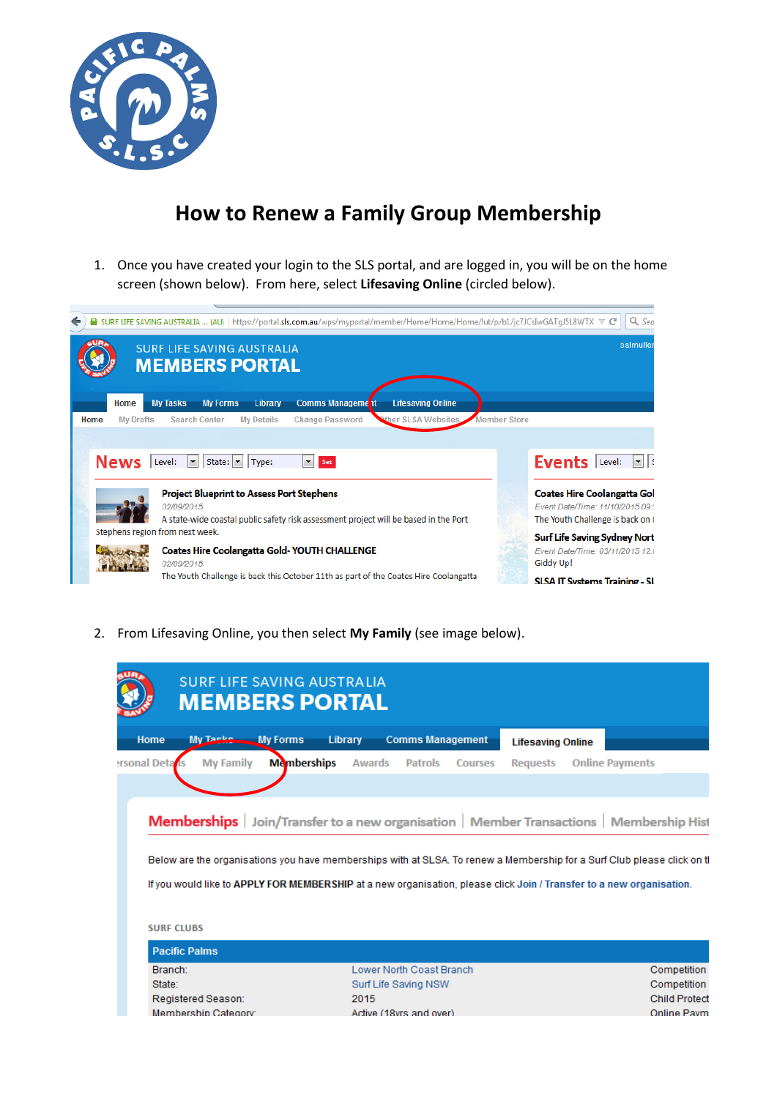

# **How to Renew a Family Group Membership**

1. Once you have created your login to the SLS portal, and are logged in, you will be on the home screen (shown below). From here, select **Lifesaving Online** (circled below).



2. From Lifesaving Online, you then select **My Family** (see image below).

|                      | <b>SURF LIFE SAVING AUSTRALIA</b><br><b>MEMBERS PORTAL</b>                                                                                                                                                                                      |                                                                                                |                |               |                          |                |                          |                        |                                     |
|----------------------|-------------------------------------------------------------------------------------------------------------------------------------------------------------------------------------------------------------------------------------------------|------------------------------------------------------------------------------------------------|----------------|---------------|--------------------------|----------------|--------------------------|------------------------|-------------------------------------|
| Home                 | My Taele My Forms                                                                                                                                                                                                                               |                                                                                                | <b>Library</b> |               | <b>Comms Management</b>  |                | <b>Lifesaving Online</b> |                        |                                     |
| <b>Irsonal Deta</b>  | <b>My Family</b>                                                                                                                                                                                                                                | <b>Memberships</b>                                                                             |                | <b>Awards</b> | <b>Patrols</b>           | <b>Courses</b> | <b>Requests</b>          | <b>Online Payments</b> |                                     |
|                      |                                                                                                                                                                                                                                                 |                                                                                                |                |               |                          |                |                          |                        |                                     |
|                      |                                                                                                                                                                                                                                                 |                                                                                                |                |               |                          |                |                          |                        |                                     |
|                      | Below are the organisations you have memberships with at SLSA. To renew a Membership for a Surf Club please click on tl<br>If you would like to APPLY FOR MEMBERSHIP at a new organisation, please click Join / Transfer to a new organisation, | <b>Memberships</b> Join/Transfer to a new organisation   Member Transactions   Membership Hist |                |               |                          |                |                          |                        |                                     |
| <b>SURF CLUBS</b>    |                                                                                                                                                                                                                                                 |                                                                                                |                |               |                          |                |                          |                        |                                     |
| <b>Pacific Palms</b> |                                                                                                                                                                                                                                                 |                                                                                                |                |               |                          |                |                          |                        |                                     |
| Branch:              |                                                                                                                                                                                                                                                 |                                                                                                |                |               | Lower North Coast Branch |                |                          |                        | Competition                         |
| State:               |                                                                                                                                                                                                                                                 |                                                                                                |                |               | Surf Life Saving NSW     |                |                          |                        |                                     |
|                      | Registered Season:                                                                                                                                                                                                                              |                                                                                                | 2015           |               |                          |                |                          |                        | Competition<br><b>Child Protect</b> |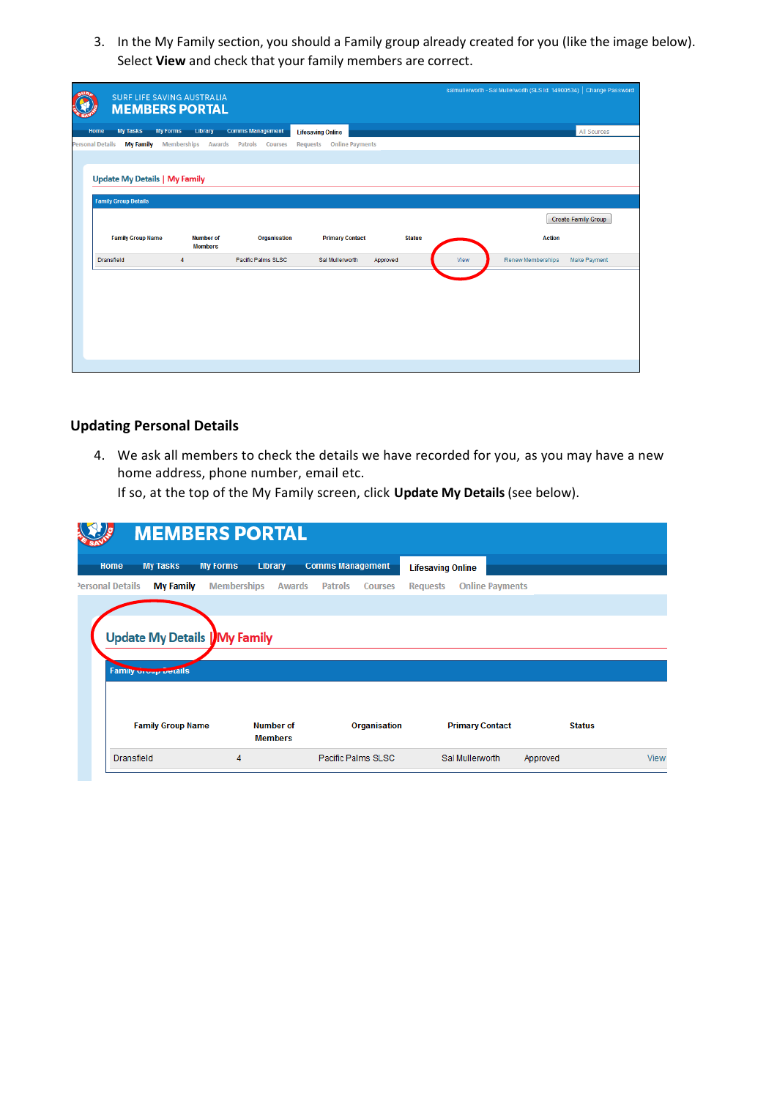3. In the My Family section, you should a Family group already created for you (like the image below). Select **View** and check that your family members are correct.

|                         |                                      |                    | <b>SURF LIFE SAVING AUSTRALIA</b><br><b>MEMBERS PORTAL</b> |                                  |                          |                        |               |      | salmullerworth - Sal Mullerworth (SLS Id: 14900534) Change Password |                            |
|-------------------------|--------------------------------------|--------------------|------------------------------------------------------------|----------------------------------|--------------------------|------------------------|---------------|------|---------------------------------------------------------------------|----------------------------|
| Home                    | <b>My Tasks</b>                      | <b>My Forms</b>    | Library                                                    | <b>Comms Management</b>          | <b>Lifesaving Online</b> |                        |               |      |                                                                     | All Sources                |
| <b>Personal Details</b> | <b>My Family</b>                     | <b>Memberships</b> | <b>Awards</b>                                              | <b>Patrols</b><br><b>Courses</b> | <b>Requests</b>          | <b>Online Payments</b> |               |      |                                                                     |                            |
|                         |                                      |                    |                                                            |                                  |                          |                        |               |      |                                                                     |                            |
|                         | <b>Update My Details   My Family</b> |                    |                                                            |                                  |                          |                        |               |      |                                                                     |                            |
|                         | <b>Family Group Details</b>          |                    |                                                            |                                  |                          |                        |               |      |                                                                     |                            |
|                         |                                      |                    |                                                            |                                  |                          |                        |               |      |                                                                     | <b>Create Family Group</b> |
|                         | <b>Family Group Name</b>             |                    | <b>Number of</b><br><b>Members</b>                         | <b>Organisation</b>              | <b>Primary Contact</b>   |                        | <b>Status</b> |      | <b>Action</b>                                                       |                            |
| Dransfield              |                                      |                    |                                                            |                                  |                          |                        |               |      |                                                                     |                            |
|                         |                                      | $\overline{4}$     |                                                            | Pacific Palms SLSC               | Sal Mullerworth          | Approved               |               | View | <b>Renew Memberships</b>                                            | Make Payment               |

## **Updating Personal Details**

4. We ask all members to check the details we have recorded for you, as you may have a new home address, phone number, email etc.

If so, at the top of the My Family screen, click **Update My Details** (see below).

| <b>My Tasks</b><br>Home              | <b>My Forms</b><br>Library |           | <b>Comms Management</b>          | <b>Lifesaving Online</b> |                        |               |  |
|--------------------------------------|----------------------------|-----------|----------------------------------|--------------------------|------------------------|---------------|--|
| Personal Details<br><b>My Family</b> | <b>Memberships</b>         | Awards    | <b>Patrols</b><br><b>Courses</b> | <b>Requests</b>          | <b>Online Payments</b> |               |  |
|                                      |                            |           |                                  |                          |                        |               |  |
|                                      |                            |           |                                  |                          |                        |               |  |
|                                      |                            |           |                                  |                          |                        |               |  |
| <b>Update My Details   My Family</b> |                            |           |                                  |                          |                        |               |  |
|                                      |                            |           |                                  |                          |                        |               |  |
| Family <b>Uroup Details</b>          |                            |           |                                  |                          |                        |               |  |
|                                      |                            |           |                                  |                          |                        |               |  |
|                                      |                            |           |                                  |                          |                        |               |  |
| <b>Family Group Name</b>             |                            | Number of | Organisation                     |                          | <b>Primary Contact</b> | <b>Status</b> |  |
|                                      | <b>Members</b>             |           |                                  |                          |                        |               |  |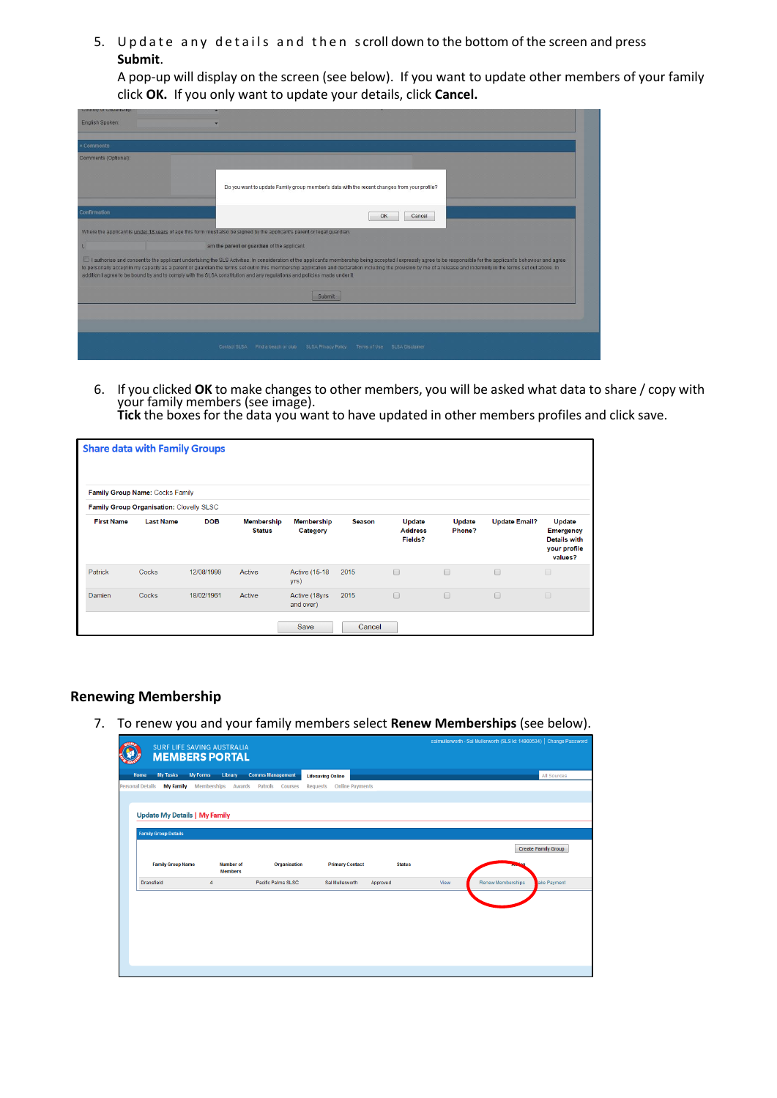5. Update any details and then scroll down to the bottom of the screen and press **Submit**.

A pop-up will display on the screen (see below). If you want to update other members of your family click **OK.** If you only want to update your details, click **Cancel.** 

| <b>CONTRA OF CHILDING</b> |                                                                                                                                                                                                                                                                                                                                                                                                                                                                                                                                                                        |
|---------------------------|------------------------------------------------------------------------------------------------------------------------------------------------------------------------------------------------------------------------------------------------------------------------------------------------------------------------------------------------------------------------------------------------------------------------------------------------------------------------------------------------------------------------------------------------------------------------|
| English Spoken:           |                                                                                                                                                                                                                                                                                                                                                                                                                                                                                                                                                                        |
|                           |                                                                                                                                                                                                                                                                                                                                                                                                                                                                                                                                                                        |
| + Comments                |                                                                                                                                                                                                                                                                                                                                                                                                                                                                                                                                                                        |
| Comments (Optional):      |                                                                                                                                                                                                                                                                                                                                                                                                                                                                                                                                                                        |
|                           | Do you want to update Family group member's data with the recent changes from your profile?                                                                                                                                                                                                                                                                                                                                                                                                                                                                            |
| Confirmation              | OK<br>Cancel                                                                                                                                                                                                                                                                                                                                                                                                                                                                                                                                                           |
|                           | Where the applicant is under 18 years of age this form must also be signed by the applicant's parent or legal guardian.                                                                                                                                                                                                                                                                                                                                                                                                                                                |
|                           | am the parent or quardian of the applicant.                                                                                                                                                                                                                                                                                                                                                                                                                                                                                                                            |
|                           | I authorise and consent to the applicant undertaking the SLS Activities. In consideration of the applicant's membership being accepted I expressly agree to be responsible for the applicant's behaviour and agree<br>to personally accept in my capacity as a parent or quardian the terms set out in this membership application and declaration including the provision by me of a release and indemnity in the terms set out above. In<br>addition I agree to be bound by and to comply with the SLSA constitution and any regulations and policies made under it. |
|                           | Submit                                                                                                                                                                                                                                                                                                                                                                                                                                                                                                                                                                 |
|                           |                                                                                                                                                                                                                                                                                                                                                                                                                                                                                                                                                                        |
|                           |                                                                                                                                                                                                                                                                                                                                                                                                                                                                                                                                                                        |
|                           | <b>SLSA Privacy Policy</b><br>Terms of Use SLSA Disclaimer<br>Contact SLSA Find a beach or club                                                                                                                                                                                                                                                                                                                                                                                                                                                                        |

6. If you clicked **OK** to make changes to other members, you will be asked what data to share / copy with your family members (see image).

|                   | <b>Share data with Family Groups</b>     |            |                                    |                               |               |                                     |                  |                      |                                                                              |
|-------------------|------------------------------------------|------------|------------------------------------|-------------------------------|---------------|-------------------------------------|------------------|----------------------|------------------------------------------------------------------------------|
|                   | Family Group Name: Cocks Family          |            |                                    |                               |               |                                     |                  |                      |                                                                              |
|                   | Family Group Organisation: Clovelly SLSC |            |                                    |                               |               |                                     |                  |                      |                                                                              |
| <b>First Name</b> | <b>Last Name</b>                         | <b>DOB</b> | <b>Membership</b><br><b>Status</b> | <b>Membership</b><br>Category | <b>Season</b> | Update<br><b>Address</b><br>Fields? | Update<br>Phone? | <b>Update Email?</b> | Update<br><b>Emergency</b><br><b>Details with</b><br>your profile<br>values? |
| Patrick           | Cocks                                    | 12/08/1999 | Active                             | <b>Active (15-18)</b><br>yrs) | 2015          | $\Box$                              | $\Box$           | $\Box$               | $\qquad \qquad \Box$                                                         |
| Damien            | Cocks                                    | 18/02/1961 | Active                             | Active (18yrs<br>and over)    | 2015          | $\Box$                              | $\Box$           | $\Box$               | $\Box$                                                                       |
|                   |                                          |            |                                    | Save                          | Cancel        |                                     |                  |                      |                                                                              |

## **Renewing Membership**

7. To renew you and your family members select **Renew Memberships** (see below).

| <b>CUD</b><br><b>SURF LIFE SAVING AUSTRALIA</b><br><b>MEMBERS PORTAL</b> |                                    |                                                     |                        |      | samming word is oar wullet wordt (opo tu: 14800094). It change has sword |                            |
|--------------------------------------------------------------------------|------------------------------------|-----------------------------------------------------|------------------------|------|--------------------------------------------------------------------------|----------------------------|
| <b>My Tasks</b><br><b>My Forms</b><br>Home                               | Library                            | <b>Comms Management</b><br><b>Lifesaving Online</b> |                        |      |                                                                          | All Sources                |
| <b>Personal Details</b><br><b>My Family</b>                              | <b>Memberships</b><br>Awards       | Patrols Courses<br>Requests                         | <b>Online Payments</b> |      |                                                                          |                            |
|                                                                          |                                    |                                                     |                        |      |                                                                          |                            |
| <b>Update My Details   My Family</b>                                     |                                    |                                                     |                        |      |                                                                          |                            |
| <b>Family Group Details</b>                                              |                                    |                                                     |                        |      |                                                                          |                            |
|                                                                          |                                    |                                                     |                        |      |                                                                          | <b>Create Family Group</b> |
| <b>Family Group Name</b>                                                 | <b>Number of</b><br><b>Members</b> | Organisation<br><b>Primary Contact</b>              | <b>Status</b>          |      |                                                                          |                            |
| <b>Dransfield</b>                                                        | $\overline{4}$                     | Pacific Palms SLSC<br>Sal Mullerworth               | Approved               | View | <b>Renew Memberships</b>                                                 | ake Payment                |
|                                                                          |                                    |                                                     |                        |      |                                                                          |                            |
|                                                                          |                                    |                                                     |                        |      |                                                                          |                            |